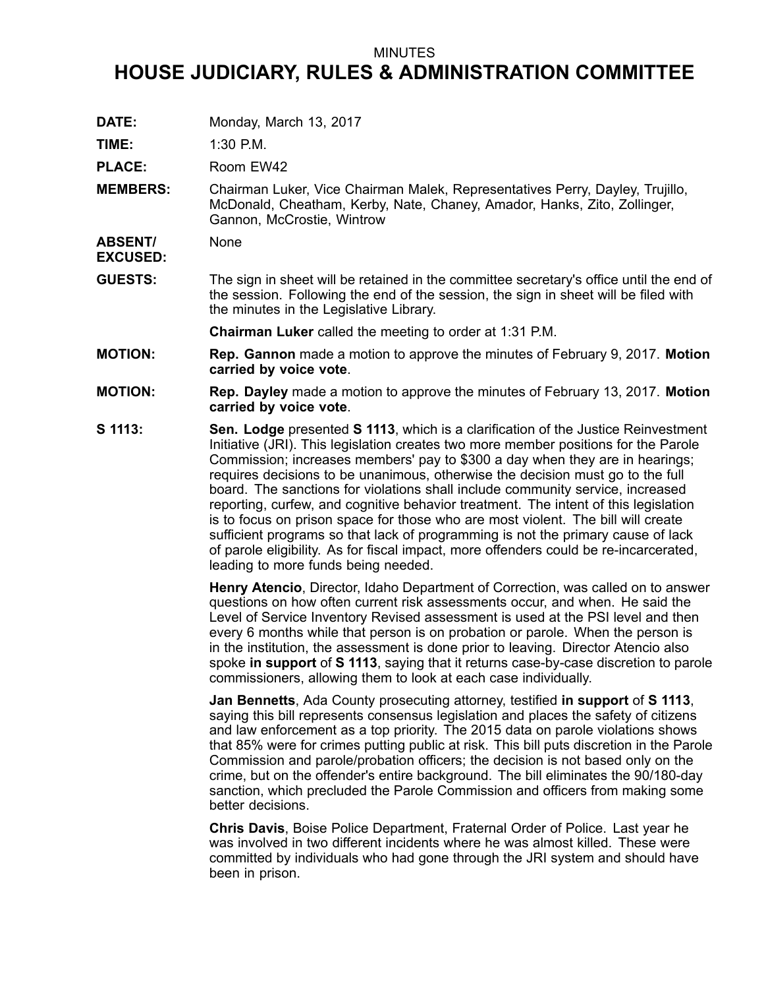## MINUTES

## **HOUSE JUDICIARY, RULES & ADMINISTRATION COMMITTEE**

**DATE:** Monday, March 13, 2017

**TIME:** 1:30 P.M.

PLACE: Room EW42

**MEMBERS:** Chairman Luker, Vice Chairman Malek, Representatives Perry, Dayley, Trujillo, McDonald, Cheatham, Kerby, Nate, Chaney, Amador, Hanks, Zito, Zollinger, Gannon, McCrostie, Wintrow

**ABSENT/ EXCUSED: None** 

**GUESTS:** The sign in sheet will be retained in the committee secretary's office until the end of the session. Following the end of the session, the sign in sheet will be filed with the minutes in the Legislative Library.

**Chairman Luker** called the meeting to order at 1:31 P.M.

- **MOTION: Rep. Gannon** made <sup>a</sup> motion to approve the minutes of February 9, 2017. **Motion carried by voice vote**.
- **MOTION: Rep. Dayley** made <sup>a</sup> motion to approve the minutes of February 13, 2017. **Motion carried by voice vote**.
- **S 1113: Sen. Lodge** presented **S 1113**, which is <sup>a</sup> clarification of the Justice Reinvestment Initiative (JRI). This legislation creates two more member positions for the Parole Commission; increases members' pay to \$300 <sup>a</sup> day when they are in hearings; requires decisions to be unanimous, otherwise the decision must go to the full board. The sanctions for violations shall include community service, increased reporting, curfew, and cognitive behavior treatment. The intent of this legislation is to focus on prison space for those who are most violent. The bill will create sufficient programs so that lack of programming is not the primary cause of lack of parole eligibility. As for fiscal impact, more offenders could be re-incarcerated, leading to more funds being needed.

**Henry Atencio**, Director, Idaho Department of Correction, was called on to answer questions on how often current risk assessments occur, and when. He said the Level of Service Inventory Revised assessment is used at the PSI level and then every 6 months while that person is on probation or parole. When the person is in the institution, the assessment is done prior to leaving. Director Atencio also spoke **in support** of **S 1113**, saying that it returns case-by-case discretion to parole commissioners, allowing them to look at each case individually.

**Jan Bennetts**, Ada County prosecuting attorney, testified **in support** of **S 1113**, saying this bill represents consensus legislation and places the safety of citizens and law enforcement as <sup>a</sup> top priority. The 2015 data on parole violations shows that 85% were for crimes putting public at risk. This bill puts discretion in the Parole Commission and parole/probation officers; the decision is not based only on the crime, but on the offender's entire background. The bill eliminates the 90/180-day sanction, which precluded the Parole Commission and officers from making some better decisions.

**Chris Davis**, Boise Police Department, Fraternal Order of Police. Last year he was involved in two different incidents where he was almost killed. These were committed by individuals who had gone through the JRI system and should have been in prison.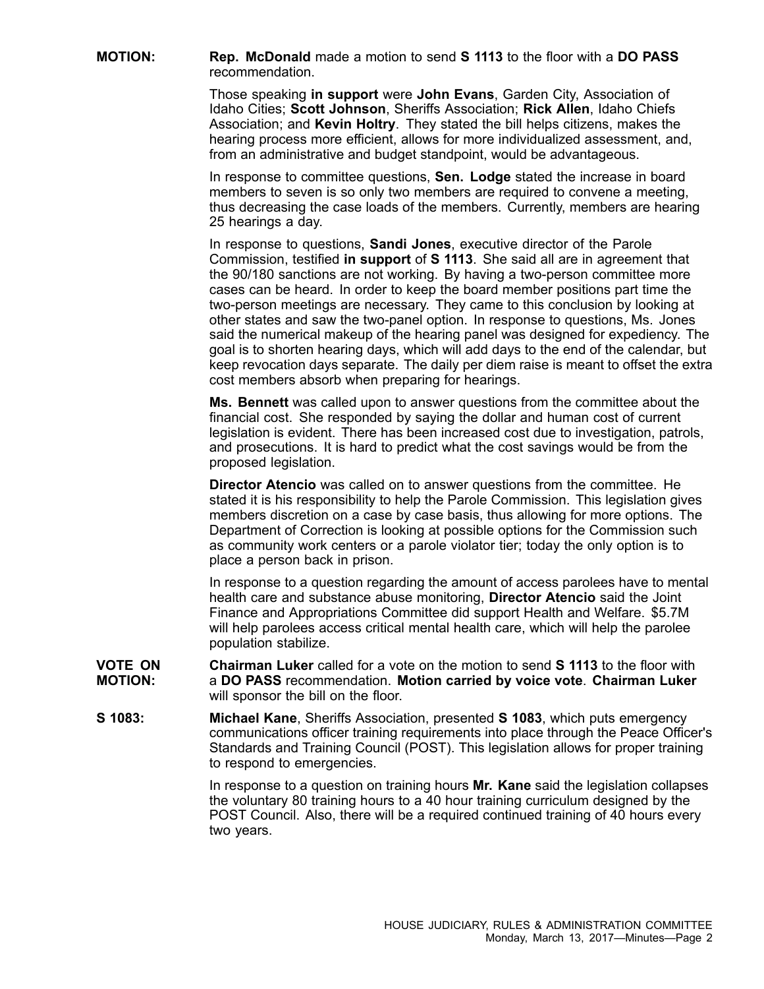**MOTION: Rep. McDonald** made <sup>a</sup> motion to send **S 1113** to the floor with <sup>a</sup> **DO PASS** recommendation.

> Those speaking **in support** were **John Evans**, Garden City, Association of Idaho Cities; **Scott Johnson**, Sheriffs Association; **Rick Allen**, Idaho Chiefs Association; and **Kevin Holtry**. They stated the bill helps citizens, makes the hearing process more efficient, allows for more individualized assessment, and, from an administrative and budget standpoint, would be advantageous.

In response to committee questions, **Sen. Lodge** stated the increase in board members to seven is so only two members are required to convene <sup>a</sup> meeting, thus decreasing the case loads of the members. Currently, members are hearing 25 hearings <sup>a</sup> day.

In response to questions, **Sandi Jones**, executive director of the Parole Commission, testified **in support** of **S 1113**. She said all are in agreement that the 90/180 sanctions are not working. By having <sup>a</sup> two-person committee more cases can be heard. In order to keep the board member positions part time the two-person meetings are necessary. They came to this conclusion by looking at other states and saw the two-panel option. In response to questions, Ms. Jones said the numerical makeup of the hearing panel was designed for expediency. The goal is to shorten hearing days, which will add days to the end of the calendar, but keep revocation days separate. The daily per diem raise is meant to offset the extra cost members absorb when preparing for hearings.

**Ms. Bennett** was called upon to answer questions from the committee about the financial cost. She responded by saying the dollar and human cost of current legislation is evident. There has been increased cost due to investigation, patrols, and prosecutions. It is hard to predict what the cost savings would be from the proposed legislation.

**Director Atencio** was called on to answer questions from the committee. He stated it is his responsibility to help the Parole Commission. This legislation gives members discretion on <sup>a</sup> case by case basis, thus allowing for more options. The Department of Correction is looking at possible options for the Commission such as community work centers or <sup>a</sup> parole violator tier; today the only option is to place <sup>a</sup> person back in prison.

In response to <sup>a</sup> question regarding the amount of access parolees have to mental health care and substance abuse monitoring, **Director Atencio** said the Joint Finance and Appropriations Committee did support Health and Welfare. \$5.7M will help parolees access critical mental health care, which will help the parolee population stabilize.

- **VOTE ON MOTION: Chairman Luker** called for a vote on the motion to send **S 1113** to the floor with <sup>a</sup> **DO PASS** recommendation. **Motion carried by voice vote**. **Chairman Luker** will sponsor the bill on the floor.
- **S 1083: Michael Kane**, Sheriffs Association, presented **S 1083**, which puts emergency communications officer training requirements into place through the Peace Officer's Standards and Training Council (POST). This legislation allows for proper training to respond to emergencies.

In response to <sup>a</sup> question on training hours **Mr. Kane** said the legislation collapses the voluntary 80 training hours to <sup>a</sup> 40 hour training curriculum designed by the POST Council. Also, there will be <sup>a</sup> required continued training of 40 hours every two years.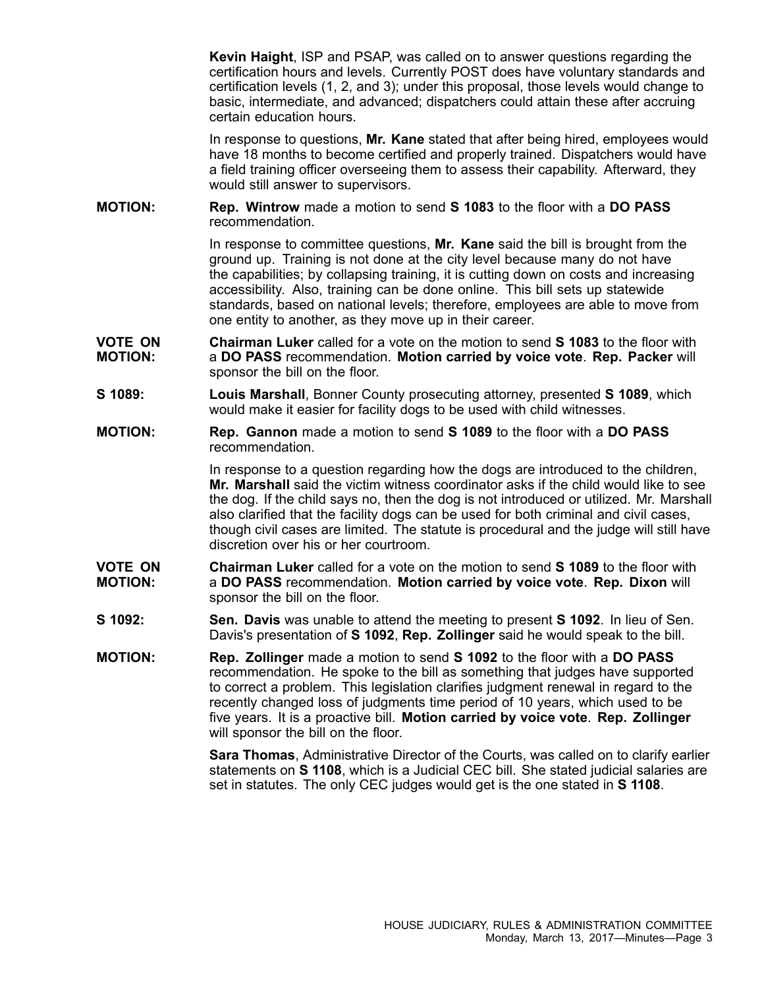**Kevin Haight**, ISP and PSAP, was called on to answer questions regarding the certification hours and levels. Currently POST does have voluntary standards and certification levels (1, 2, and 3); under this proposal, those levels would change to basic, intermediate, and advanced; dispatchers could attain these after accruing certain education hours.

In response to questions, **Mr. Kane** stated that after being hired, employees would have 18 months to become certified and properly trained. Dispatchers would have <sup>a</sup> field training officer overseeing them to assess their capability. Afterward, they would still answer to supervisors.

**MOTION: Rep. Wintrow** made <sup>a</sup> motion to send **S 1083** to the floor with <sup>a</sup> **DO PASS** recommendation.

> In response to committee questions, **Mr. Kane** said the bill is brought from the ground up. Training is not done at the city level because many do not have the capabilities; by collapsing training, it is cutting down on costs and increasing accessibility. Also, training can be done online. This bill sets up statewide standards, based on national levels; therefore, employees are able to move from one entity to another, as they move up in their career.

- **VOTE ON MOTION: Chairman Luker** called for a vote on the motion to send **S 1083** to the floor with <sup>a</sup> **DO PASS** recommendation. **Motion carried by voice vote**. **Rep. Packer** will sponsor the bill on the floor.
- **S 1089: Louis Marshall**, Bonner County prosecuting attorney, presented **S 1089**, which would make it easier for facility dogs to be used with child witnesses.
- **MOTION: Rep. Gannon** made <sup>a</sup> motion to send **S 1089** to the floor with <sup>a</sup> **DO PASS** recommendation.

In response to <sup>a</sup> question regarding how the dogs are introduced to the children, **Mr. Marshall** said the victim witness coordinator asks if the child would like to see the dog. If the child says no, then the dog is not introduced or utilized. Mr. Marshall also clarified that the facility dogs can be used for both criminal and civil cases, though civil cases are limited. The statute is procedural and the judge will still have discretion over his or her courtroom.

- **VOTE ON MOTION: Chairman Luker** called for a vote on the motion to send **S 1089** to the floor with <sup>a</sup> **DO PASS** recommendation. **Motion carried by voice vote**. **Rep. Dixon** will sponsor the bill on the floor.
- **S 1092: Sen. Davis** was unable to attend the meeting to present **S 1092**. In lieu of Sen. Davis's presentation of **S 1092**, **Rep. Zollinger** said he would speak to the bill.
- **MOTION: Rep. Zollinger** made <sup>a</sup> motion to send **S 1092** to the floor with <sup>a</sup> **DO PASS** recommendation. He spoke to the bill as something that judges have supported to correct <sup>a</sup> problem. This legislation clarifies judgment renewal in regard to the recently changed loss of judgments time period of 10 years, which used to be five years. It is <sup>a</sup> proactive bill. **Motion carried by voice vote**. **Rep. Zollinger** will sponsor the bill on the floor.

**Sara Thomas**, Administrative Director of the Courts, was called on to clarify earlier statements on **S 1108**, which is <sup>a</sup> Judicial CEC bill. She stated judicial salaries are set in statutes. The only CEC judges would get is the one stated in **S 1108**.